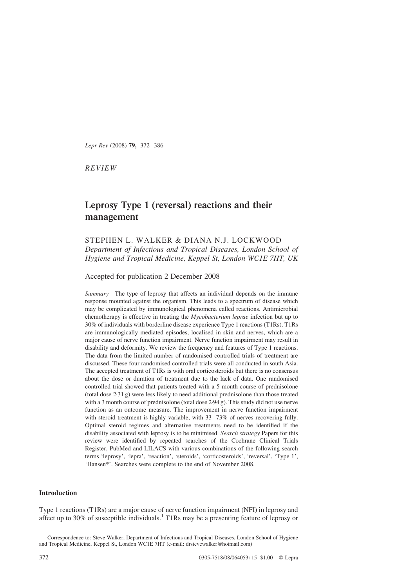Lepr Rev (2008) 79, 372–386

REVIEW

# Leprosy Type 1 (reversal) reactions and their management

## STEPHEN L. WALKER & DIANA N.J. LOCKWOOD Department of Infectious and Tropical Diseases, London School of Hygiene and Tropical Medicine, Keppel St, London WC1E 7HT, UK

Accepted for publication 2 December 2008

Summary The type of leprosy that affects an individual depends on the immune response mounted against the organism. This leads to a spectrum of disease which may be complicated by immunological phenomena called reactions. Antimicrobial chemotherapy is effective in treating the Mycobacterium leprae infection but up to 30% of individuals with borderline disease experience Type 1 reactions (T1Rs). T1Rs are immunologically mediated episodes, localised in skin and nerves, which are a major cause of nerve function impairment. Nerve function impairment may result in disability and deformity. We review the frequency and features of Type 1 reactions. The data from the limited number of randomised controlled trials of treatment are discussed. These four randomised controlled trials were all conducted in south Asia. The accepted treatment of T1Rs is with oral corticosteroids but there is no consensus about the dose or duration of treatment due to the lack of data. One randomised controlled trial showed that patients treated with a 5 month course of prednisolone (total dose 2·31 g) were less likely to need additional prednisolone than those treated with a 3 month course of prednisolone (total dose 2·94 g). This study did not use nerve function as an outcome measure. The improvement in nerve function impairment with steroid treatment is highly variable, with  $33-73\%$  of nerves recovering fully. Optimal steroid regimes and alternative treatments need to be identified if the disability associated with leprosy is to be minimised. Search strategy Papers for this review were identified by repeated searches of the Cochrane Clinical Trials Register, PubMed and LILACS with various combinations of the following search terms 'leprosy', 'lepra', 'reaction', 'steroids', 'corticosteroids', 'reversal', 'Type 1', 'Hansen\*'. Searches were complete to the end of November 2008.

## Introduction

Type 1 reactions (T1Rs) are a major cause of nerve function impairment (NFI) in leprosy and affect up to 30% of susceptible individuals.<sup>[1](#page-12-0)</sup> T1Rs may be a presenting feature of leprosy or

Correspondence to: Steve Walker, Department of Infectious and Tropical Diseases, London School of Hygiene and Tropical Medicine, Keppel St, London WC1E 7HT (e-mail: drstevewalker@hotmail.com)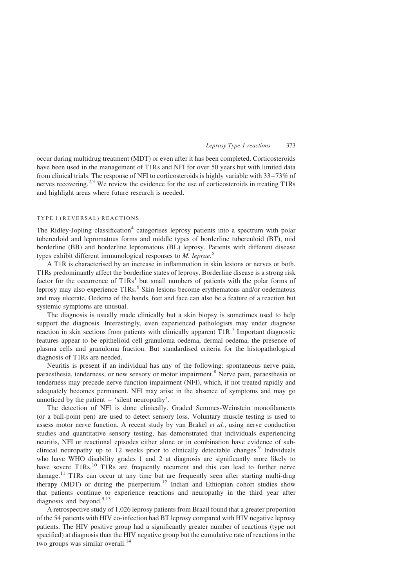occur during multidrug treatment (MDT) or even after it has been completed. Corticosteroids have been used in the management of T1Rs and NFI for over 50 years but with limited data from clinical trials. The response of NFI to corticosteroids is highly variable with 33–73% of nerves recovering.<sup>[2,3](#page-12-0)</sup> We review the evidence for the use of corticosteroids in treating T1Rs and highlight areas where future research is needed.

### TYPE 1 (REVERSAL) REACTIONS

The Ridley-Jopling classification<sup>[4](#page-12-0)</sup> categorises leprosy patients into a spectrum with polar tuberculoid and lepromatous forms and middle types of borderline tuberculoid (BT), mid borderline (BB) and borderline lepromatous (BL) leprosy. Patients with different disease types exhibit different immunological responses to  $M$ . leprae.<sup>[5](#page-12-0)</sup>

A T1R is characterised by an increase in inflammation in skin lesions or nerves or both. T1Rs predominantly affect the borderline states of leprosy. Borderline disease is a strong risk factor for the occurrence of  $T1Rs<sup>1</sup>$  $T1Rs<sup>1</sup>$  $T1Rs<sup>1</sup>$  but small numbers of patients with the polar forms of leprosy may also experience T1Rs.<sup>[6](#page-12-0)</sup> Skin lesions become erythematous and/or oedematous and may ulcerate. Oedema of the hands, feet and face can also be a feature of a reaction but systemic symptoms are unusual.

The diagnosis is usually made clinically but a skin biopsy is sometimes used to help support the diagnosis. Interestingly, even experienced pathologists may under diagnose reaction in skin sections from patients with clinically apparent T1R.[7](#page-12-0) Important diagnostic features appear to be epithelioid cell granuloma oedema, dermal oedema, the presence of plasma cells and granuloma fraction. But standardised criteria for the histopathological diagnosis of T1Rs are needed.

Neuritis is present if an individual has any of the following: spontaneous nerve pain, paraesthesia, tenderness, or new sensory or motor impairment.[8](#page-12-0) Nerve pain, paraesthesia or tenderness may precede nerve function impairment (NFI), which, if not treated rapidly and adequately becomes permanent. NFI may arise in the absence of symptoms and may go unnoticed by the patient – 'silent neuropathy'.

The detection of NFI is done clinically. Graded Semmes-Weinstein monofilaments (or a ball-point pen) are used to detect sensory loss. Voluntary muscle testing is used to assess motor nerve function. A recent study by van Brakel et al., using nerve conduction studies and quantitative sensory testing, has demonstrated that individuals experiencing neuritis, NFI or reactional episodes either alone or in combination have evidence of sub-clinical neuropathy up to 12 weeks prior to clinically detectable changes.<sup>[9](#page-12-0)</sup> Individuals who have WHO disability grades 1 and 2 at diagnosis are significantly more likely to have severe T1Rs.<sup>[10](#page-12-0)</sup> T1Rs are frequently recurrent and this can lead to further nerve damage.<sup>[11](#page-12-0)</sup> T1Rs can occur at any time but are frequently seen after starting multi-drug therapy (MDT) or during the puerperium.<sup>[12](#page-12-0)</sup> Indian and Ethiopian cohort studies show that patients continue to experience reactions and neuropathy in the third year after diagnosis and beyond.<sup>[9,13](#page-12-0)</sup>

A retrospective study of 1,026 leprosy patients from Brazil found that a greater proportion of the 54 patients with HIV co-infection had BT leprosy compared with HIV negative leprosy patients. The HIV positive group had a significantly greater number of reactions (type not specified) at diagnosis than the HIV negative group but the cumulative rate of reactions in the two groups was similar overall.<sup>[14](#page-12-0)</sup>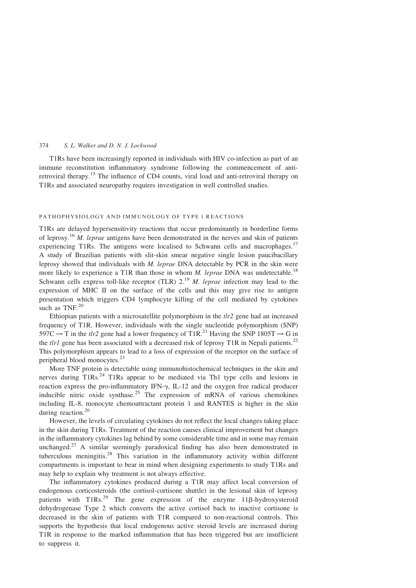T1Rs have been increasingly reported in individuals with HIV co-infection as part of an immune reconstitution inflammatory syndrome following the commencement of antiretroviral therapy.[15](#page-12-0) The influence of CD4 counts, viral load and anti-retroviral therapy on T1Rs and associated neuropathy requires investigation in well controlled studies.

## PATHOPHYSIOLOGY AND IMMUNOLOGY OF TYPE 1 REACTIONS

T1Rs are delayed hypersensitivity reactions that occur predominantly in borderline forms of leprosy.<sup>[16](#page-12-0)</sup> M. leprae antigens have been demonstrated in the nerves and skin of patients experiencing T1Rs. The antigens were localised to Schwann cells and macrophages.<sup>[17](#page-12-0)</sup> A study of Brazilian patients with slit-skin smear negative single lesion paucibacillary leprosy showed that individuals with M. leprae DNA detectable by PCR in the skin were more likely to experience a T1R than those in whom M. leprae DNA was undetectable.<sup>[18](#page-12-0)</sup> Schwann cells express toll-like receptor (TLR)  $2^{19}$  $2^{19}$  $2^{19}$  *M. leprae* infection may lead to the expression of MHC II on the surface of the cells and this may give rise to antigen presentation which triggers CD4 lymphocyte killing of the cell mediated by cytokines such as TNF.<sup>[20](#page-12-0)</sup>

Ethiopian patients with a microsatellite polymorphism in the  $tlr2$  gene had an increased frequency of T1R. However, individuals with the single nucleotide polymorphism (SNP) 597C  $\rightarrow$  T in the *tlr2* gene had a lower frequency of T1R.<sup>[21](#page-12-0)</sup> Having the SNP 1805T  $\rightarrow$  G in the *tlr1* gene has been associated with a decreased risk of leprosy T1R in Nepali patients.<sup>[22](#page-12-0)</sup> This polymorphism appears to lead to a loss of expression of the receptor on the surface of peripheral blood monocytes.<sup>[23](#page-12-0)</sup>

More TNF protein is detectable using immunohistochemical techniques in the skin and nerves during T1Rs.<sup>[24](#page-12-0)</sup> T1Rs appear to be mediated via Th1 type cells and lesions in reaction express the pro-inflammatory IFN- $\gamma$ , IL-12 and the oxygen free radical producer inducible nitric oxide synthase.<sup>[25](#page-12-0)</sup> The expression of mRNA of various chemokines including IL-8, monocyte chemoattractant protein 1 and RANTES is higher in the skin during reaction.<sup>[26](#page-12-0)</sup>

However, the levels of circulating cytokines do not reflect the local changes taking place in the skin during T1Rs. Treatment of the reaction causes clinical improvement but changes in the inflammatory cytokines lag behind by some considerable time and in some may remain unchanged.<sup>[27](#page-13-0)</sup> A similar seemingly paradoxical finding has also been demonstrated in tuberculous meningitis.[28](#page-13-0) This variation in the inflammatory activity within different compartments is important to bear in mind when designing experiments to study T1Rs and may help to explain why treatment is not always effective.

The inflammatory cytokines produced during a T1R may affect local conversion of endogenous corticosteroids (the cortisol-cortisone shuttle) in the lesional skin of leprosy patients with  $T1Rs.<sup>29</sup>$  $T1Rs.<sup>29</sup>$  $T1Rs.<sup>29</sup>$  The gene expression of the enzyme  $11\beta$ -hydroxysteroid dehydrogenase Type 2 which converts the active cortisol back to inactive cortisone is decreased in the skin of patients with T1R compared to non-reactional controls. This supports the hypothesis that local endogenous active steroid levels are increased during T1R in response to the marked inflammation that has been triggered but are insufficient to suppress it.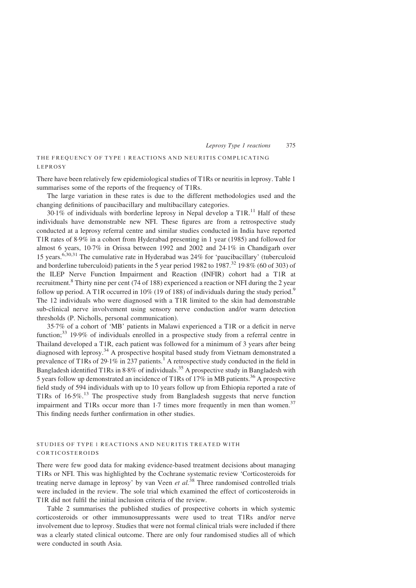## THE FREQUENCY OF TYPE 1 REACTIONS AND NEURITIS COMPLICATING LEPROSY

There have been relatively few epidemiological studies of T1Rs or neuritis in leprosy. [Table 1](#page-4-0) summarises some of the reports of the frequency of T1Rs.

The large variation in these rates is due to the different methodologies used and the changing definitions of paucibacillary and multibacillary categories.

 $30.1\%$  of individuals with borderline leprosy in Nepal develop a T1R.<sup>[11](#page-12-0)</sup> Half of these individuals have demonstrable new NFI. These figures are from a retrospective study conducted at a leprosy referral centre and similar studies conducted in India have reported T1R rates of 8·9% in a cohort from Hyderabad presenting in 1 year (1985) and followed for almost 6 years, 10·7% in Orissa between 1992 and 2002 and 24·1% in Chandigarh over 15 years.[6,30,31](#page-12-0) The cumulative rate in Hyderabad was 24% for 'paucibacillary' (tuberculoid and borderline tuberculoid) patients in the 5 year period 1982 to 1987.<sup>[32](#page-13-0)</sup> 19·8% (60 of 303) of the ILEP Nerve Function Impairment and Reaction (INFIR) cohort had a T1R at recruitment.[8](#page-12-0) Thirty nine per cent (74 of 188) experienced a reaction or NFI during the 2 year follow up period. A T1R occurred in 10% (1[9](#page-12-0) of 188) of individuals during the study period.<sup>9</sup> The 12 individuals who were diagnosed with a T1R limited to the skin had demonstrable sub-clinical nerve involvement using sensory nerve conduction and/or warm detection thresholds (P. Nicholls, personal communication).

35·7% of a cohort of 'MB' patients in Malawi experienced a T1R or a deficit in nerve function;[33](#page-13-0) 19·9% of individuals enrolled in a prospective study from a referral centre in Thailand developed a T1R, each patient was followed for a minimum of 3 years after being diagnosed with leprosy[.34](#page-13-0) A prospective hospital based study from Vietnam demonstrated a prevalence of T[1](#page-12-0)Rs of 29.1% in 237 patients.<sup>1</sup> A retrospective study conducted in the field in Bangladesh identified T1Rs in  $8.8\%$  of individuals.<sup>[35](#page-13-0)</sup> A prospective study in Bangladesh with 5 years follow up demonstrated an incidence of T1Rs of 17% in MB patients.[36](#page-13-0) A prospective field study of 594 individuals with up to 10 years follow up from Ethiopia reported a rate of T1Rs of  $16.5\%$ <sup>[13](#page-12-0)</sup>. The prospective study from Bangladesh suggests that nerve function impairment and T1Rs occur more than  $1.7$  times more frequently in men than women.<sup>[37](#page-13-0)</sup> This finding needs further confirmation in other studies.

## STUDIES OF TYPE 1 REACTIONS AND NEURITIS TREATED WITH CORTICOSTEROIDS

There were few good data for making evidence-based treatment decisions about managing T1Rs or NFI. This was highlighted by the Cochrane systematic review 'Corticosteroids for treating nerve damage in leprosy' by van Veen et  $al$ <sup>[38](#page-13-0)</sup>. Three randomised controlled trials were included in the review. The sole trial which examined the effect of corticosteroids in T1R did not fulfil the initial inclusion criteria of the review.

[Table 2](#page-5-0) summarises the published studies of prospective cohorts in which systemic corticosteroids or other immunosuppressants were used to treat T1Rs and/or nerve involvement due to leprosy. Studies that were not formal clinical trials were included if there was a clearly stated clinical outcome. There are only four randomised studies all of which were conducted in south Asia.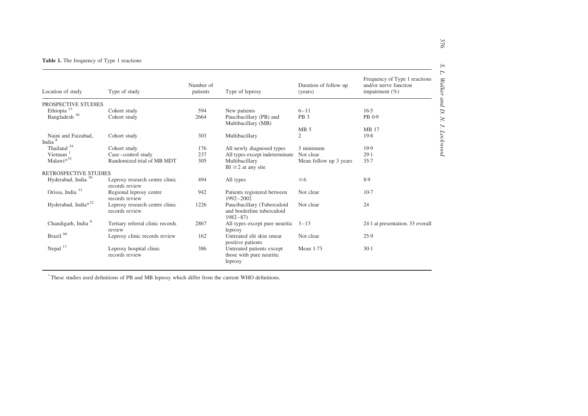#### <span id="page-4-0"></span>**Table 1.** The frequency of Type 1 reactions

| Location of study                         | Type of study                                    | Number of<br>patients | Type of leprosy                                                          | Duration of follow up<br>(years) | Frequency of Type 1 reactions<br>and/or nerve function<br>impairment $(\% )$ |
|-------------------------------------------|--------------------------------------------------|-----------------------|--------------------------------------------------------------------------|----------------------------------|------------------------------------------------------------------------------|
| PROSPECTIVE STUDIES                       |                                                  |                       |                                                                          |                                  |                                                                              |
| Ethiopia <sup>13</sup>                    | Cohort study                                     | 594                   | New patients                                                             | $6 - 11$                         | 16.5                                                                         |
| Bangladesh <sup>36</sup>                  | Cohort study                                     | 2664                  | Paucibacillary (PB) and<br>Multibacillary (MB)                           | PB <sub>3</sub>                  | PB 0.9                                                                       |
|                                           |                                                  |                       |                                                                          | MB <sub>5</sub>                  | <b>MB</b> 17                                                                 |
| Naini and Faizabad,<br>India <sup>8</sup> | Cohort study                                     | 303                   | Multibacillary                                                           | $\mathfrak{2}$                   | 19.8                                                                         |
| Thailand <sup>34</sup>                    | Cohort study                                     | 176                   | All newly diagnosed types                                                | 3 minimum                        | 19.9                                                                         |
| Vietnam                                   | Case-control study                               | 237                   | All types except indeterminate                                           | Not clear                        | 29.1                                                                         |
| Malawi* <sup>33</sup>                     | Randomized trial of MB MDT                       | 305                   | Multibacillary<br>$BI \ge 2$ at any site                                 | Mean follow up 3 years           | 35.7                                                                         |
| RETROSPECTIVE STUDIES                     |                                                  |                       |                                                                          |                                  |                                                                              |
| Hyderabad, India <sup>30</sup>            | Leprosy research centre clinic<br>records review | 494                   | All types                                                                | $\leq 6$                         | 8.9                                                                          |
| Orissa, India <sup>31</sup>               | Regional leprosy centre<br>records review        | 942                   | Patients registered between<br>1992-2002                                 | Not clear                        | $10-7$                                                                       |
| Hyderabad, India*32                       | Leprosy research centre clinic<br>records review | 1226                  | Paucibacillary (Tuberculoid<br>and borderline tuberculoid<br>$1982 - 87$ | Not clear                        | 24                                                                           |
| Chandigarh, India <sup>6</sup>            | Tertiary referral clinic records<br>review       | 2867                  | All types except pure neuritic<br>leprosy                                | $3 - 13$                         | 24.1 at presentation. 33 overall                                             |
| Brazil <sup>66</sup>                      | Leprosy clinic records review                    | 162                   | Untreated slit skin smear<br>positive patients                           | Not clear                        | 25.9                                                                         |
| Nepal $11$                                | Leprosy hospital clinic<br>records review        | 386                   | Untreated patients except<br>those with pure neuritic<br>leprosy         | Mean $1.73$                      | $30-1$                                                                       |

\* These studies used definitions of PB and MB leprosy which differ from the current WHO definitions.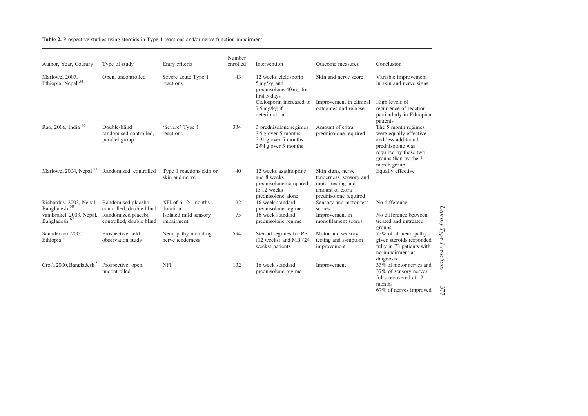<span id="page-5-0"></span>Table 2. Prospective studies using steroids in Type 1 reactions and/or nerve function impairment.

| Author, Year, Country                             | Type of study                                            | Entry criteria                             | Number<br>enrolled | Intervention                                                                                         | Outcome measures                                                                                              | Conclusion                                                                                                                                               |
|---------------------------------------------------|----------------------------------------------------------|--------------------------------------------|--------------------|------------------------------------------------------------------------------------------------------|---------------------------------------------------------------------------------------------------------------|----------------------------------------------------------------------------------------------------------------------------------------------------------|
| Marlowe, 2007,<br>Ethiopia, Nepal <sup>54</sup>   | Open, uncontrolled                                       | Severe acute Type 1<br>reactions           | 43                 | 12 weeks ciclosporin<br>5 mg/kg and<br>prednisolone 40 mg for<br>first 5 days                        | Skin and nerve score                                                                                          | Variable improvement<br>in skin and nerve signs                                                                                                          |
|                                                   |                                                          |                                            |                    | Ciclosporin increased to<br>$7.5 \,\mathrm{mg/kg}$ if<br>deterioration                               | Improvement in clinical<br>outcomes and relapse                                                               | High levels of<br>recurrence of reaction<br>particularly in Ethiopian<br>patients                                                                        |
| Rao, 2006, India <sup>46</sup>                    | Double-blind<br>randomised controlled,<br>parallel group | 'Severe' Type 1<br>reactions               | 334                | 3 prednisolone regimes:<br>$3.5$ g over 5 months<br>$2.31$ g over 5 months<br>$2.94$ g over 3 months | Amount of extra<br>prednisolone required                                                                      | The 5 month regimes<br>were equally effective<br>and less additional<br>prednisolone was<br>required by these two<br>groups than by the 3<br>month group |
| Marlowe, 2004, Nepal $53$                         | Randomised, controlled                                   | Type 1 reactions skin or<br>skin and nerve | 40                 | 12 weeks azathioprine<br>and 8 weeks<br>prednisolone compared<br>to 12 weeks<br>prednisolone alone   | Skin signs, nerve<br>tenderness, sensory and<br>motor testing and<br>amount of extra<br>prednisolone required | Equally effective                                                                                                                                        |
| Richardus, 2003, Nepal,<br>Bangladesh $^{\rm 50}$ | Randomised placebo<br>controlled, double blind           | NFI of $6-24$ months<br>duration           | 92                 | 16 week standard<br>prednisolone regime                                                              | Sensory and motor test<br>scores                                                                              | No difference                                                                                                                                            |
| van Brakel, 2003, Nepal,<br>Bangladesh $^{67}\,$  | Randomized placebo<br>controlled, double blind           | Isolated mild sensory<br>impairment        | 75                 | 16 week standard<br>prednisolone regime                                                              | Improvement in<br>monofilament scores                                                                         | No difference between<br>treated and untreated<br>groups                                                                                                 |
| Saunderson, 2000,<br>Ethiopia <sup>2</sup>        | Prospective field<br>observation study                   | Neuropathy including<br>nerve tenderness   | 594                | Steroid regimes for PB<br>$(12$ weeks) and MB $(24)$<br>weeks) patients                              | Motor and sensory<br>testing and symptom<br>improvement                                                       | 73% of all neuropathy<br>given steroids responded<br>fully in 73 patients with<br>no impairment at<br>diagnosis                                          |
| Croft, 2000, Bangladesh <sup>3</sup>              | Prospective, open,<br>uncontrolled                       | <b>NFI</b>                                 | 132                | 16 week standard<br>prednisolone regime                                                              | Improvement                                                                                                   | 33% of motor nerves and<br>37% of sensory nerves<br>fully recovered at 12<br>months<br>67% of nerves improved                                            |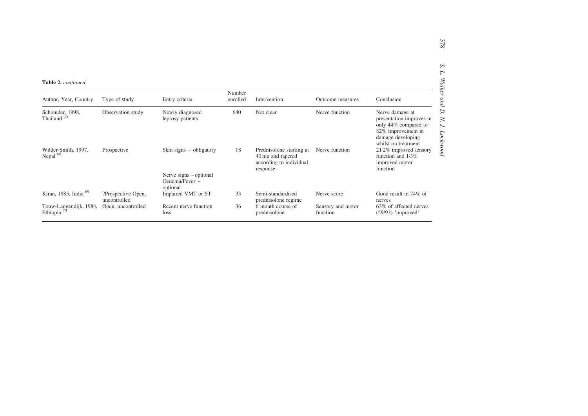| <b>Table 2.</b> continued                  |                    |                                                                      |                    |                                                                                      |                               |                                                                                                                                       |
|--------------------------------------------|--------------------|----------------------------------------------------------------------|--------------------|--------------------------------------------------------------------------------------|-------------------------------|---------------------------------------------------------------------------------------------------------------------------------------|
| Author, Year, Country                      | Type of study      | Entry criteria                                                       | Number<br>enrolled | Intervention                                                                         | Outcome measures              | Conclusion                                                                                                                            |
| Schreuder, 1998,<br>Thailand <sup>40</sup> | Observation study  | Newly diagnosed<br>leprosy patients                                  | 640                | Not clear                                                                            | Nerve function                | Nerve damage at<br>presentation improves in<br>only 44% compared to<br>82% improvement in<br>damage developing<br>whilst on treatment |
| Wilder-Smith, 1997,<br>Nepal <sup>68</sup> | Prospective        | Skin signs $-$ obligatory<br>Nerve signs -optional<br>Oedema/Fever - | 18                 | Prednisolone starting at<br>40 mg and tapered<br>according to individual<br>response | Nerve function                | $21.2\%$ improved sensory<br>function and $1.3\%$<br>improved motor<br>function                                                       |
| Kiran, 1985, India <sup>69</sup>           | ?Prospective Open, | optional<br>Impaired VMT or ST                                       | 33                 | Semi-standardised                                                                    | Nerve score                   | Good result in 74% of                                                                                                                 |
|                                            | uncontrolled       |                                                                      |                    | prednisolone regime                                                                  |                               | nerves                                                                                                                                |
| Touw-Langendijk, 1984,<br>Ethiopia $70$    | Open, uncontrolled | Recent nerve function<br>loss                                        | 36                 | 6 month course of<br>prednisolone                                                    | Sensory and motor<br>function | 63% of affected nerves<br>(59/93) 'improved'                                                                                          |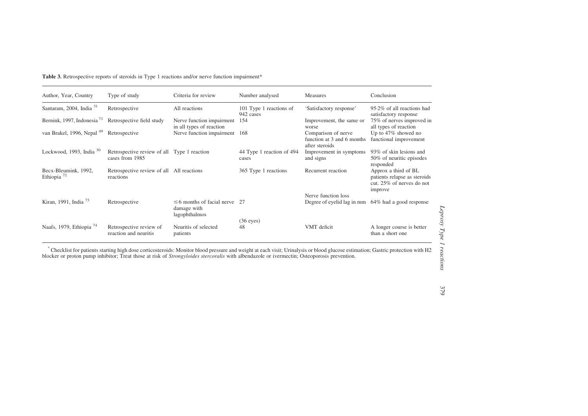<span id="page-7-0"></span>

| <b>Table 3.</b> Retrospective reports of steroids in Type 1 reactions and/or nerve function impairment* |  |
|---------------------------------------------------------------------------------------------------------|--|
|---------------------------------------------------------------------------------------------------------|--|

| Author, Year, Country                    | Type of study                                                  | Criteria for review                                             | Number analysed                      | Measures                                                            | Conclusion                                                                                   |
|------------------------------------------|----------------------------------------------------------------|-----------------------------------------------------------------|--------------------------------------|---------------------------------------------------------------------|----------------------------------------------------------------------------------------------|
| Santaram, 2004, India <sup>31</sup>      | Retrospective                                                  | All reactions                                                   | 101 Type 1 reactions of<br>942 cases | 'Satisfactory response'                                             | 95.2% of all reactions had<br>satisfactory response                                          |
| Bernink, 1997, Indonesia <sup>71</sup>   | Retrospective field study                                      | Nerve function impairment<br>in all types of reaction           | 154                                  | Improvement, the same or<br>worse                                   | 75% of nerves improved in<br>all types of reaction                                           |
| van Brakel, 1996, Nepal <sup>49</sup>    | Retrospective                                                  | Nerve function impairment                                       | 168                                  | Comparison of nerve<br>function at 3 and 6 months<br>after steroids | Up to 47% showed no<br>functional improvement                                                |
| Lockwood, 1993, India $30$               | Retrospective review of all Type 1 reaction<br>cases from 1985 |                                                                 | 44 Type 1 reaction of 494<br>cases   | Improvement in symptoms<br>and signs                                | 93% of skin lesions and<br>50% of neuritic episodes<br>responded                             |
| Becx-Bleumink, 1992,<br>Ethiopia $^{72}$ | Retrospective review of all All reactions<br>reactions         |                                                                 | 365 Type 1 reactions                 | Recurrent reaction                                                  | Approx a third of BL<br>patients relapse as steroids<br>cut. 25% of nerves do not<br>improve |
|                                          |                                                                |                                                                 |                                      | Nerve function loss                                                 |                                                                                              |
| Kiran, 1991, India <sup>73</sup>         | Retrospective                                                  | $\leq$ 6 months of facial nerve<br>damage with<br>lagophthalmos | - 27                                 | Degree of eyelid lag in mm                                          | 64% had a good response                                                                      |
| Naafs, 1979, Ethiopia <sup>74</sup>      | Retrospective review of<br>reaction and neuritis               | Neuritis of selected<br>patients                                | $(36$ eyes)<br>48                    | VMT deficit                                                         | A longer course is better<br>than a short one                                                |

\*Checklist for patients starting high dose corticosteroids: Monitor blood pressure and weight at each visit; Urinalysis or blood <sup>g</sup>lucose estimation; Gastric protection with H2 blocker or proton pump inhibitor; Treat those at risk of Strongyloides stercoralis with albendazole or ivermectin; Osteoporosis prevention.

Leprosy Type 1 reactions Leprosy Type 1 reactions

379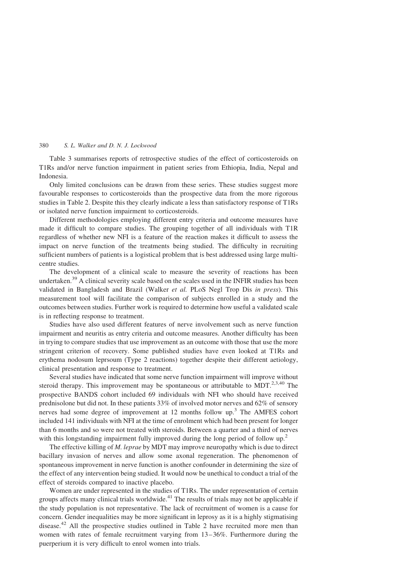[Table 3](#page-7-0) summarises reports of retrospective studies of the effect of corticosteroids on T1Rs and/or nerve function impairment in patient series from Ethiopia, India, Nepal and Indonesia.

Only limited conclusions can be drawn from these series. These studies suggest more favourable responses to corticosteroids than the prospective data from the more rigorous studies in [Table 2.](#page-5-0) Despite this they clearly indicate a less than satisfactory response of T1Rs or isolated nerve function impairment to corticosteroids.

Different methodologies employing different entry criteria and outcome measures have made it difficult to compare studies. The grouping together of all individuals with T1R regardless of whether new NFI is a feature of the reaction makes it difficult to assess the impact on nerve function of the treatments being studied. The difficulty in recruiting sufficient numbers of patients is a logistical problem that is best addressed using large multicentre studies.

The development of a clinical scale to measure the severity of reactions has been undertaken.<sup>[39](#page-13-0)</sup> A clinical severity scale based on the scales used in the INFIR studies has been validated in Bangladesh and Brazil (Walker et al. PLoS Negl Trop Dis in press). This measurement tool will facilitate the comparison of subjects enrolled in a study and the outcomes between studies. Further work is required to determine how useful a validated scale is in reflecting response to treatment.

Studies have also used different features of nerve involvement such as nerve function impairment and neuritis as entry criteria and outcome measures. Another difficulty has been in trying to compare studies that use improvement as an outcome with those that use the more stringent criterion of recovery. Some published studies have even looked at T1Rs and erythema nodosum leprsoum (Type 2 reactions) together despite their different aetiology, clinical presentation and response to treatment.

Several studies have indicated that some nerve function impairment will improve without steroid therapy. This improvement may be spontaneous or attributable to MDT.<sup>[2,3,40](#page-12-0)</sup> The prospective BANDS cohort included 69 individuals with NFI who should have received prednisolone but did not. In these patients 33% of involved motor nerves and 62% of sensory nerves had some degree of improvement at 12 months follow up.<sup>[3](#page-12-0)</sup> The AMFES cohort included 141 individuals with NFI at the time of enrolment which had been present for longer than 6 months and so were not treated with steroids. Between a quarter and a third of nerves with this longstanding impairment fully improved during the long period of follow up.<sup>[2](#page-12-0)</sup>

The effective killing of M. leprae by MDT may improve neuropathy which is due to direct bacillary invasion of nerves and allow some axonal regeneration. The phenomenon of spontaneous improvement in nerve function is another confounder in determining the size of the effect of any intervention being studied. It would now be unethical to conduct a trial of the effect of steroids compared to inactive placebo.

Women are under represented in the studies of T1Rs. The under representation of certain groups affects many clinical trials worldwide.<sup>[41](#page-13-0)</sup> The results of trials may not be applicable if the study population is not representative. The lack of recruitment of women is a cause for concern. Gender inequalities may be more significant in leprosy as it is a highly stigmatising disease.<sup>[42](#page-13-0)</sup> All the prospective studies outlined in [Table 2](#page-5-0) have recruited more men than women with rates of female recruitment varying from 13–36%. Furthermore during the puerperium it is very difficult to enrol women into trials.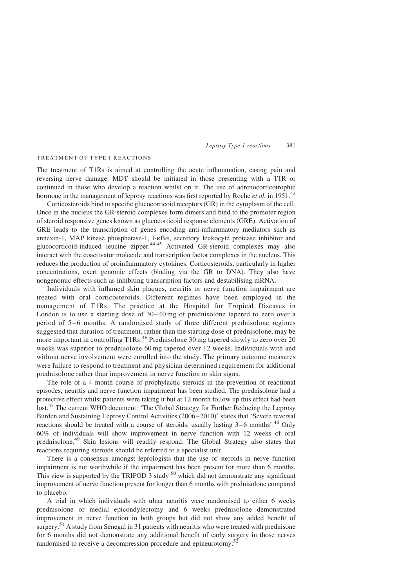#### TREATMENT OF TYPE 1 REACTIONS

The treatment of T1Rs is aimed at controlling the acute inflammation, easing pain and reversing nerve damage. MDT should be initiated in those presenting with a T1R or continued in those who develop a reaction whilst on it. The use of adrenocorticotrophic hormone in the management of leprosy reactions was first reported by Roche *et al.* in 1951.<sup>[43](#page-13-0)</sup>

Corticosteroids bind to specific glucocorticoid receptors (GR) in the cytoplasm of the cell. Once in the nucleus the GR-steroid complexes form dimers and bind to the promoter region of steroid responsive genes known as glucocorticoid response elements (GRE). Activation of GRE leads to the transcription of genes encoding anti-inflammatory mediators such as annexin-1, MAP kinase phosphatase-1, I-kBa, secretory leukocyte protease inhibitor and glucocorticoid-induced leucine zipper.[44,45](#page-13-0) Activated GR-steroid complexes may also interact with the coactivator molecule and transcription factor complexes in the nucleus. This reduces the production of proinflammatory cytokines. Corticosteroids, particularly in higher concentrations, exert genomic effects (binding via the GR to DNA). They also have nongenomic effects such as inhibiting transcription factors and destabilising mRNA.

Individuals with inflamed skin plaques, neuritis or nerve function impairment are treated with oral corticosteroids. Different regimes have been employed in the management of T1Rs. The practice at the Hospital for Tropical Diseases in London is to use a starting dose of 30–40 mg of prednisolone tapered to zero over a period of 5–6 months. A randomised study of three different prednisolone regimes suggested that duration of treatment, rather than the starting dose of prednisolone, may be more important in controlling T1Rs.<sup>[46](#page-13-0)</sup> Prednisolone 30 mg tapered slowly to zero over 20 weeks was superior to prednisolone 60 mg tapered over 12 weeks. Individuals with and without nerve involvement were enrolled into the study. The primary outcome measures were failure to respond to treatment and physician determined requirement for additional prednisolone rather than improvement in nerve function or skin signs.

The role of a 4 month course of prophylactic steroids in the prevention of reactional episodes, neuritis and nerve function impairment has been studied. The prednisolone had a protective effect whilst patients were taking it but at 12 month follow up this effect had been lost.<sup>[47](#page-13-0)</sup> The current WHO document: 'The Global Strategy for Further Reducing the Leprosy Burden and Sustaining Leprosy Control Activities (2006–2010)' states that 'Severe reversal reactions should be treated with a course of steroids, usually lasting 3–6 months'.<sup>[48](#page-13-0)</sup> Only 60% of individuals will show improvement in nerve function with 12 weeks of oral prednisolone.[49](#page-13-0) Skin lesions will readily respond. The Global Strategy also states that reactions requiring steroids should be referred to a specialist unit.

There is a consensus amongst leprologists that the use of steroids in nerve function impairment is not worthwhile if the impairment has been present for more than 6 months. This view is supported by the TRIPOD  $\overline{3}$  study  $^{50}$  $^{50}$  $^{50}$  which did not demonstrate any significant improvement of nerve function present for longer than 6 months with prednisolone compared to placebo.

A trial in which individuals with ulnar neuritis were randomised to either 6 weeks prednisolone or medial epicondylectomy and 6 weeks prednisolone demonstrated improvement in nerve function in both groups but did not show any added benefit of surgery.<sup>[51](#page-13-0)</sup> A study from Senegal in 31 patients with neuritis who were treated with prednisone for 6 months did not demonstrate any additional benefit of early surgery in those nerves randomised to receive a decompression procedure and epineurotomy.<sup>[52](#page-13-0)</sup>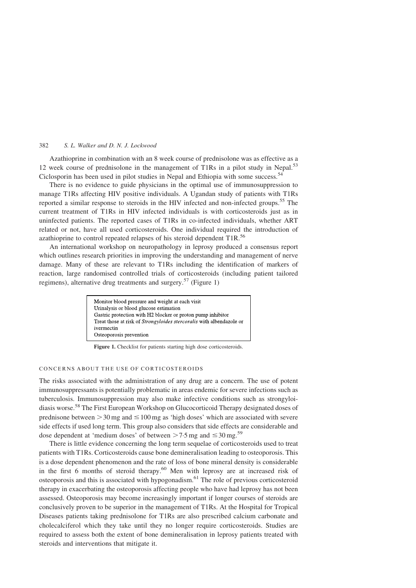Azathioprine in combination with an 8 week course of prednisolone was as effective as a 12 week course of prednisolone in the management of T1Rs in a pilot study in Nepal.<sup>[53](#page-13-0)</sup> Ciclosporin has been used in pilot studies in Nepal and Ethiopia with some success.<sup>[54](#page-13-0)</sup>

There is no evidence to guide physicians in the optimal use of immunosuppression to manage T1Rs affecting HIV positive individuals. A Ugandan study of patients with T1Rs reported a similar response to steroids in the HIV infected and non-infected groups.<sup>[55](#page-13-0)</sup> The current treatment of T1Rs in HIV infected individuals is with corticosteroids just as in uninfected patients. The reported cases of T1Rs in co-infected individuals, whether ART related or not, have all used corticosteroids. One individual required the introduction of azathioprine to control repeated relapses of his steroid dependent T1R.<sup>[56](#page-14-0)</sup>

An international workshop on neuropathology in leprosy produced a consensus report which outlines research priorities in improving the understanding and management of nerve damage. Many of these are relevant to T1Rs including the identification of markers of reaction, large randomised controlled trials of corticosteroids (including patient tailored regimens), alternative drug treatments and surgery.<sup>[57](#page-14-0)</sup> (Figure 1)

| Monitor blood pressure and weight at each visit                             |
|-----------------------------------------------------------------------------|
| Urinalysis or blood glucose estimation                                      |
| Gastric protection with H2 blocker or proton pump inhibitor                 |
| Treat those at risk of <i>Strongyloides stercoralis</i> with albendazole or |
| ivermectin                                                                  |
| Osteoporosis prevention                                                     |

Figure 1. Checklist for patients starting high dose corticosteroids.

## CONCERNS ABOUT THE USE OF CORTICOSTEROIDS

The risks associated with the administration of any drug are a concern. The use of potent immunosuppressants is potentially problematic in areas endemic for severe infections such as tuberculosis. Immunosuppression may also make infective conditions such as strongyloidiasis worse.[58](#page-14-0) The First European Workshop on Glucocorticoid Therapy designated doses of prednisone between  $>$  30 mg and  $\leq$  100 mg as 'high doses' which are associated with severe side effects if used long term. This group also considers that side effects are considerable and dose dependent at 'medium doses' of between  $>$  7.5 mg and  $\leq$  30 mg.<sup>[59](#page-14-0)</sup>

There is little evidence concerning the long term sequelae of corticosteroids used to treat patients with T1Rs. Corticosteroids cause bone demineralisation leading to osteoporosis. This is a dose dependent phenomenon and the rate of loss of bone mineral density is considerable in the first 6 months of steroid therapy.<sup>[60](#page-14-0)</sup> Men with leprosy are at increased risk of osteoporosis and this is associated with hypogonadism.[61](#page-14-0) The role of previous corticosteroid therapy in exacerbating the osteoporosis affecting people who have had leprosy has not been assessed. Osteoporosis may become increasingly important if longer courses of steroids are conclusively proven to be superior in the management of T1Rs. At the Hospital for Tropical Diseases patients taking prednisolone for T1Rs are also prescribed calcium carbonate and cholecalciferol which they take until they no longer require corticosteroids. Studies are required to assess both the extent of bone demineralisation in leprosy patients treated with steroids and interventions that mitigate it.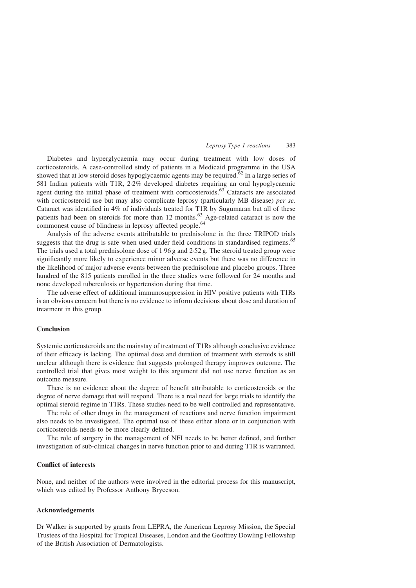Diabetes and hyperglycaemia may occur during treatment with low doses of corticosteroids. A case-controlled study of patients in a Medicaid programme in the USA showed that at low steroid doses hypoglycaemic agents may be required.<sup>[62](#page-14-0)</sup> In a large series of 581 Indian patients with T1R, 2·2% developed diabetes requiring an oral hypoglycaemic agent during the initial phase of treatment with corticosteroids.<sup>[63](#page-14-0)</sup> Cataracts are associated with corticosteroid use but may also complicate leprosy (particularly MB disease) per se. Cataract was identified in 4% of individuals treated for T1R by Sugumaran but all of these patients had been on steroids for more than 12 months.<sup>[63](#page-14-0)</sup> Age-related cataract is now the commonest cause of blindness in leprosy affected people.<sup>[64](#page-14-0)</sup>

Analysis of the adverse events attributable to prednisolone in the three TRIPOD trials suggests that the drug is safe when used under field conditions in standardised regimens.<sup>[65](#page-14-0)</sup> The trials used a total prednisolone dose of 1·96 g and 2·52 g. The steroid treated group were significantly more likely to experience minor adverse events but there was no difference in the likelihood of major adverse events between the prednisolone and placebo groups. Three hundred of the 815 patients enrolled in the three studies were followed for 24 months and none developed tuberculosis or hypertension during that time.

The adverse effect of additional immunosuppression in HIV positive patients with T1Rs is an obvious concern but there is no evidence to inform decisions about dose and duration of treatment in this group.

## Conclusion

Systemic corticosteroids are the mainstay of treatment of T1Rs although conclusive evidence of their efficacy is lacking. The optimal dose and duration of treatment with steroids is still unclear although there is evidence that suggests prolonged therapy improves outcome. The controlled trial that gives most weight to this argument did not use nerve function as an outcome measure.

There is no evidence about the degree of benefit attributable to corticosteroids or the degree of nerve damage that will respond. There is a real need for large trials to identify the optimal steroid regime in T1Rs. These studies need to be well controlled and representative.

The role of other drugs in the management of reactions and nerve function impairment also needs to be investigated. The optimal use of these either alone or in conjunction with corticosteroids needs to be more clearly defined.

The role of surgery in the management of NFI needs to be better defined, and further investigation of sub-clinical changes in nerve function prior to and during T1R is warranted.

## Conflict of interests

None, and neither of the authors were involved in the editorial process for this manuscript, which was edited by Professor Anthony Bryceson.

## Acknowledgements

Dr Walker is supported by grants from LEPRA, the American Leprosy Mission, the Special Trustees of the Hospital for Tropical Diseases, London and the Geoffrey Dowling Fellowship of the British Association of Dermatologists.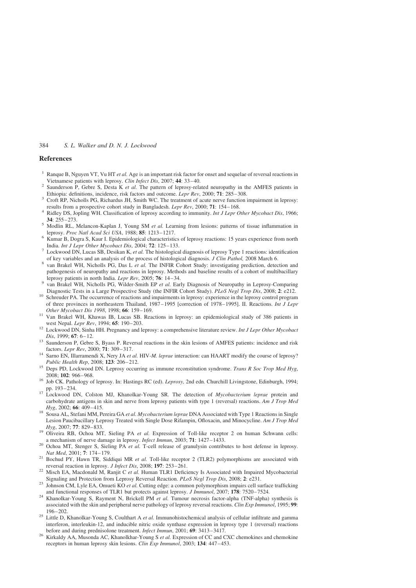#### <span id="page-12-0"></span>References

- <sup>1</sup> Ranque B, Nguyen VT, Vu HT et al. Age is an important risk factor for onset and sequelae of reversal reactions in
- Vietnamese patients with leprosy. Clin Infect Dis, 2007; 44: 33–40.<br><sup>2</sup> Saunderson P, Gebre S, Desta K *et al.* The pattern of leprosy-related neuropathy in the AMFES patients in Ethiopia: definitions, incidence, risk fact
- Croft RP, Nicholls PG, Richardus JH, Smith WC. The treatment of acute nerve function impairment in leprosy:
- results from a prospective cohort study in Bangladesh. Lepr Rev, 2000; 71: 154–168.<br>
4 Ridley DS, Jopling WH. Classification of leprosy according to immunity. Int J Lepr Other Mycobact Dis, 1966;<br>
34: 255–273.
- <sup>5</sup> Modlin RL, Melancon-Kaplan J, Young SM *et al.* Learning from lesions: patterns of tissue inflammation in
- leprosy. Proc Natl Acad Sci USA, 1988; 85: 1213–1217.<br>Kumar B, Dogra S, Kaur I. Epidemiological characteristics of leprosy reactions: 15 years experience from north<br>India. Int J Lepr Other Mycobact Dis, 2004; 72: 125–133.
- Lockwood DN, Lucas SB, Desikan K, et al. The histological diagnosis of leprosy Type 1 reactions: identification of key variables and an analysis of the process of histological diagnosis. J Clin Pathol, 2008 March 6. 8 van Brakel WH, Nicholls PG, Das L et al. The INFIR Cohort Study: investigating prediction, detection and
- pathogenesis of neuropathy and reactions in leprosy. Methods and baseline results of a cohort of multibacillary leprosy patients in north India. Lepr Rev, 2005; **76**: 14–34.
- orth India. In north India. Lepr Rev, 2006; 76: 14–45. Patients in north India. Lepr Rev, 2005; 76: 14–34. 9 van Brakel WH, Nicholls PG, Wilder-Smith EP et al. Early Diagnosis of Neuropathy in Leprosy-Comparing Diagnostic
- 10 Schreuder PA. The occurrence of reactions and impairments in leprosy: experience in the leprosy control program of three provinces in northeastern Thailand, 1987–1995 [correction of 1978–1995]. II. Reactions. Int J Lepr Other Mycobact Dis 1998, 1998; 66: 159–169.<br><sup>11</sup> Van Brakel WH, Khawas IB, Lucas SB. Reactions in leprosy: an epidemiological study of 386 patients in
- 
- west Nepal. Lepr Rev, 1994; 65: 190–203.<br><sup>12</sup> Lockwood DN, Sinha HH. Pregnancy and leprosy: a comprehensive literature review. *Int J Lepr Other Mycobact*
- Dis, 1999; 67: 6–12. 13 Saunderson P, Gebre S, Byass P. Reversal reactions in the skin lesions of AMFES patients: incidence and risk factors. *Lepr Rev*, 2000; 71: 309–317.
- <sup>14</sup> Sarno EN, Illarramendi X, Nery JA et al. HIV-M. leprae interaction: can HAART modify the course of leprosy?<br>Public Health Rep, 2008; **123**: 206–212.
- <sup>15</sup> Deps PD, Lockwood DN. Leprosy occurring as immune reconstitution syndrome. Trans R Soc Trop Med Hyg,
- 2008; 102: 966–968.<br>
<sup>16</sup> Job CK. Pathology of leprosy. In: Hastings RC (ed). *Leprosy*, 2nd edn. Churchill Livingstone, Edinburgh, 1994;<br>
pp. 193–234.
- <sup>17</sup> Lockwood DN, Colston MJ, Khanolkar-Young SR. The detection of *Mycobacterium leprae* protein and carbohydrate antigens in skin and nerve from leprosy patients with type 1 (reversal) reactions. Am J Trop Med
- Hyg, 2002; <sup>66</sup>: 409–415. <sup>18</sup> Sousa AL, Stefani MM, Pereira GA et al. Mycobacterium leprae DNA Associated with Type 1 Reactions in Single Lesion Paucibacillary Leprosy Treated with Single Dose Rifampin, Ofloxacin, and Minocycline. Am J Trop Med
- Hyg, 2007; 77: 829–833.<br><sup>19</sup> Oliveira RB, Ochoa MT, Sieling PA *et al.* Expression of Toll-like receptor 2 on human Schwann cells:<br>a mechanism of nerve damage in leprosy. *Infect Immun*, 2003; 71: 1427–1433.
- <sup>20</sup> Ochoa MT, Stenger S, Sieling PA *et al.* T-cell release of granulysin contributes to host defense in leprosy. *Nat Med*, 2001; 7: 174–179.
- $21$  Bochud PY, Hawn TR, Siddiqui MR et al. Toll-like receptor 2 (TLR2) polymorphisms are associated with
- reversal reaction in leprosy. J Infect Dis, 2008; 197: 253–261.<br><sup>22</sup> Misch EA, Macdonald M, Ranjit C et al. Human TLR1 Deficiency Is Associated with Impaired Mycobacterial Signaling and Protection from Leprosy Reversal Rea
- <sup>23</sup> Johnson CM, Lyle EA, Omueti KO et al. Cutting edge: a common polymorphism impairs cell surface trafficking
- and functional responses of TLR1 but protects against leprosy. *J Immunol*, 2007; 178: 7520–7524.<br><sup>24</sup> Khanolkar-Young S, Rayment N, Brickell PM *et al.* Tumour necrosis factor-alpha (TNF-alpha) synthesis is associated with the skin and peripheral nerve pathology of leprosy reversal reactions. Clin Exp Immunol, 1995; 99: 196–202. 25 Little D, Khanolkar-Young S, Coulthart A et al. Immunohistochemical analysis of cellular infiltrate and gamma
- interferon, interleukin-12, and inducible nitric oxide synthase expression in leprosy type 1 (reversal) reactions before and during prednisolone treatment. *Infect Immun*, 2001; **69**: 3413-3417.
- <sup>26</sup> Kirkaldy AA, Musonda AC, Khanolkhar-Young S et al. Expression of CC and CXC chemokines and chemokine receptors in human leprosy skin lesions. Clin Exp Immunol, 2003; 134: 447–453.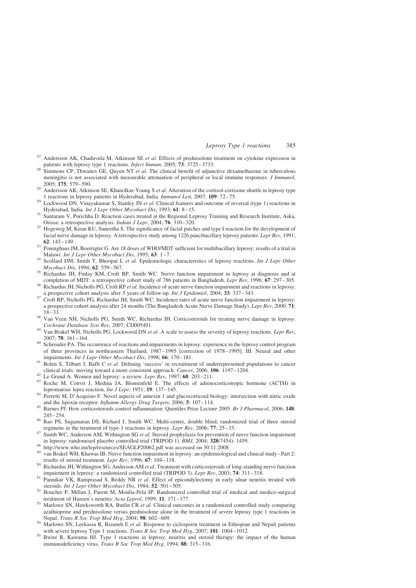- <span id="page-13-0"></span>Andersson AK, Chaduvula M, Atkinson SE et al. Effects of prednisolone treatment on cytokine expression in patients with leprosy type 1 reactions. *Infect Immun*, 2005;  $73$ : 3725–3733.<br><sup>28</sup> Simmons CP, Thwaites GE, Quyen NT *et al.* The clinical benefit of adjunctive dexamethasone in tuberculous
- meningitis is not associated with measurable attenuation of peripheral or local immune responses. J Immunol, 2005; 175: 579–590.<br><sup>29</sup> Andersson AK, Atkinson SE, Khanolkar-Young S *et al.* Alteration of the cortisol-cortisone shuttle in leprosy type
- 
- 1 reactions in leprosy patients in Hyderabad, India. *Immunol Lett*, 2007; **109**: 72–75.<br><sup>30</sup> Lockwood DN, Vinayakumar S, Stanley JN *et al.* Clinical features and outcome of reversal (type 1) reactions in Hyderabad, India
- Santaram V, Porichha D. Reaction cases treated at the Regional Leprosy Training and Research Institute, Aska,
- Orissa: a retrospective analysis. *Indian J Lepr*, 2004; **76**: 310–320.<br><sup>32</sup> Hogeweg M, Kiran KU, Suneetha S. The significance of facial patches and type I reaction for the development of facial nerve damage in leprosy. A retrospective study among 1226 paucibacillary leprosy patients. Lepr Rev, 1991;<br>62: 143-149
- <sup>33</sup> Ponnighaus JM, Boerrigter G. Are 18 doses of WHO/MDT sufficient for multibacillary leprosy; results of a trial in Malawi. Int J Lepr Other Mycobact Dis, 1995; 63: 1–7.<br><sup>34</sup> Scollard DM, Smith T, Bhoopat L et al. Epidemiologic characteristics of leprosy reactions. Int J Lepr Other
- Mycobact Dis, 1994; 62: 559–567.<br><sup>35</sup> Richardus JH, Finlay KM, Croft RP, Smith WC. Nerve function impairment in leprosy at diagnosis and at
- completion of MDT: a retrospective cohort study of 786 patients in Bangladesh. Lepr Rev, 1996; 67: 297–305. 36 Richardus JH, Nicholls PG, Croft RP et al. Incidence of acute nerve function impairment and reactions in lepros
- a prospective cohort analysis after 5 years of follow-up. *Int J Epidemiol*, 2004; 33: 337–343.<br><sup>37</sup> Croft RP, Nicholls PG, Richardus JH, Smith WC. Incidence rates of acute nerve function impairment in leprosy:
- a prospective cohort analysis after 24 months (The Bangladesh Acute Nerve Damage Study). Lepr Rev, 2000; 71:
- 18–33.<br><sup>38</sup> Van Veen NH, Nicholls PG, Smith WC, Richardus JH. Corticosteroids for treating nerve damage in leprosy.<br>*Cochrane Database Syst Rev*, 2007; CD005491.
- <sup>39</sup> Van Brakel WH, Nicholls PG, Lockwood DN *et al.* A scale to assess the severity of leprosy reactions. Lepr Rev, 2007; **78**: 161–164.<br><sup>40</sup> Schreuder PA. The occurrence of reactions and impairments in leprosy: experience in the leprosy control program
- of three provinces in northeastern Thailand, 1987–1995 [correction of 1978–1995]. III. Neural and other impairments. *Int J Lepr Other Mycobact Dis*, 1998; 66: 170–181.
- <sup>41</sup> Bolen S, Tilburt J, Baffi C *et al.* Defining 'success' in recruitment of underrepresented populations to cancer clinical trials: moving toward a more consistent approach. *Cancer*, 2006; **106**: 1197–1204.
- 
- <sup>42</sup> Le Grand A. Women and leprosy: a review. *Lepr Rev*, 1997; **68**: 203-211.<br><sup>43</sup> Roche M, Convit J, Medina JA, Blomenfeld E. The effects of adrenocorticotropic hormone (ACTH) in lepromatous lepra reaction. *Int J Lepr*
- Perretti M, D'Acquisto F. Novel aspects of annexin 1 and glucocorticoid biology: intersection with nitric oxide and the lipoxin receptor. *Inflamm Allergy Drug Targets*, 2006; 5: 107–114.
- 45 Barnes PJ. How corticosteroids control inflammation: Quintiles Prize Lecture 2005. Br J Pharmacol, 2006; 148: 245–254. <sup>46</sup> Rao PS, Sugamaran DS, Richard J, Smith WC. Multi-centre, double blind, randomized trial of three steroid
- 
- regimens in the treatment of type-1 reactions in leprosy. Lepr Rev, 2006; 77: 25–33.<br><sup>47</sup> Smith WC, Anderson AM, Withington SG *et al.* Steroid prophylaxis for prevention of nerve function impairment in leprosy: randomised
- 
- <sup>48</sup> [http://www.who.int/lep/resources/SEAGLP20062.pdf](http://www.who.int/lep/resources/seaglp20062.pdf) was accessed on 30.11.2008<br><sup>49</sup> van Brakel WH, Khawas IB. Nerve function impairment in leprosy: an epidemiological and clinical study–Part 2:<br>results of steroid treatm
- Richardus JH, Withington SG, Anderson AM *et al.* Treatment with corticosteroids of long-standing nerve function impairment in leprosy: a randomized controlled trial (TRIPOD 3). *Lepr Rev*, 2003; **74**: 311–318.
- <sup>51</sup> Pannikar VK, Ramprasad S, Reddy NR *et al.* Effect of epicondylectomy in early ulnar neuritis treated with steroids. *Int J Lepr Other Mycobact Dis*, 1984; **52**: 501–505.
- $52$  Boucher P, Millan J, Parent M, Moulia-Pela JP. Randomized controlled trial of medical and medico-surgical treatment of Hansen's neuritis. Acta Leprol, 1999; 11: 171–177.<br>
<sup>53</sup> Marlowe SN, Hawksworth RA, Butlin CR et al. Clinical outcomes in a randomized controlled study comparing
- azathioprine and prednisolone versus prednisolone alone in the treatment of severe leprosy type 1 reactions in Nepal. Trans R Soc Trop Med Hyg, 2004; 98: 602-609.
- <sup>54</sup> Marlowe SN, Leekassa R, Bizuneh E et al. Response to ciclosporin treatment in Ethiopian and Nepali patients with severe leprosy Type 1 reactions. *Trans R Soc Trop Med Hyg*, 2007; **101**: 1004–1012.
- Bwire R, Kawuma HJ. Type 1 reactions in leprosy, neuritis and steroid therapy: the impact of the human immunodeficiency virus. Trans R Soc Trop Med Hyg, 1994; 88: 315-316.